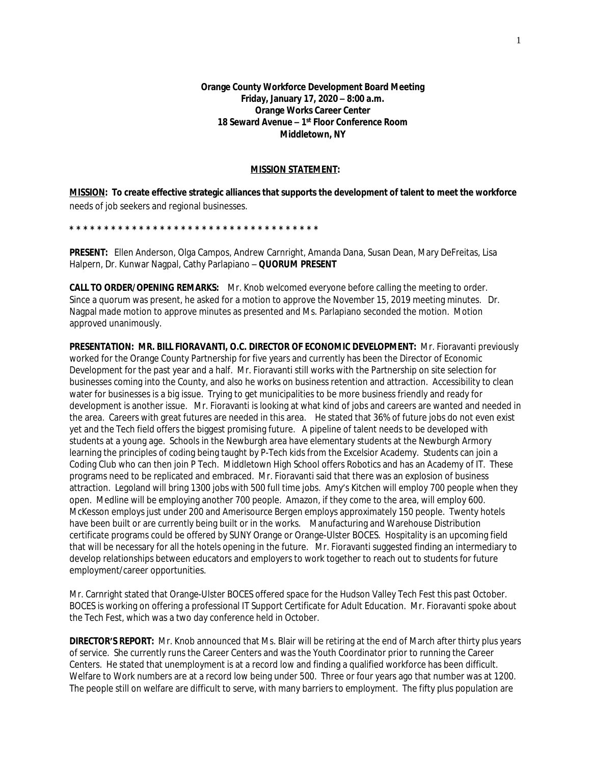## **MISSION STATEMENT:**

**MISSION: To create effective strategic alliances that supports the development of talent to meet the workforce**  needs of job seekers and regional businesses.

**\* \* \* \* \* \* \* \* \* \* \* \* \* \* \* \* \* \* \* \* \* \* \* \* \* \* \* \* \* \* \* \* \* \* \* \*** 

**PRESENT:** Ellen Anderson, Olga Campos, Andrew Carnright, Amanda Dana, Susan Dean, Mary DeFreitas, Lisa Halpern, Dr. Kunwar Nagpal, Cathy Parlapiano – **QUORUM PRESENT**

**CALL TO ORDER/OPENING REMARKS:** Mr. Knob welcomed everyone before calling the meeting to order. Since a quorum was present, he asked for a motion to approve the November 15, 2019 meeting minutes. Dr. Nagpal made motion to approve minutes as presented and Ms. Parlapiano seconded the motion. Motion approved unanimously.

**PRESENTATION: MR. BILL FIORAVANTI, O.C. DIRECTOR OF ECONOMIC DEVELOPMENT:** Mr. Fioravanti previously worked for the Orange County Partnership for five years and currently has been the Director of Economic Development for the past year and a half. Mr. Fioravanti still works with the Partnership on site selection for businesses coming into the County, and also he works on business retention and attraction. Accessibility to clean water for businesses is a big issue. Trying to get municipalities to be more business friendly and ready for development is another issue. Mr. Fioravanti is looking at what kind of jobs and careers are wanted and needed in the area. Careers with great futures are needed in this area. He stated that 36% of future jobs do not even exist yet and the Tech field offers the biggest promising future. A pipeline of talent needs to be developed with students at a young age. Schools in the Newburgh area have elementary students at the Newburgh Armory learning the principles of coding being taught by P-Tech kids from the Excelsior Academy. Students can join a Coding Club who can then join P Tech. Middletown High School offers Robotics and has an Academy of IT. These programs need to be replicated and embraced. Mr. Fioravanti said that there was an explosion of business attraction. Legoland will bring 1300 jobs with 500 full time jobs. Amy's Kitchen will employ 700 people when they open. Medline will be employing another 700 people. Amazon, if they come to the area, will employ 600. McKesson employs just under 200 and Amerisource Bergen employs approximately 150 people. Twenty hotels have been built or are currently being built or in the works. Manufacturing and Warehouse Distribution certificate programs could be offered by SUNY Orange or Orange-Ulster BOCES. Hospitality is an upcoming field that will be necessary for all the hotels opening in the future. Mr. Fioravanti suggested finding an intermediary to develop relationships between educators and employers to work together to reach out to students for future employment/career opportunities.

Mr. Carnright stated that Orange-Ulster BOCES offered space for the Hudson Valley Tech Fest this past October. BOCES is working on offering a professional IT Support Certificate for Adult Education. Mr. Fioravanti spoke about the Tech Fest, which was a two day conference held in October.

**DIRECTOR'S REPORT:** Mr. Knob announced that Ms. Blair will be retiring at the end of March after thirty plus years of service. She currently runs the Career Centers and was the Youth Coordinator prior to running the Career Centers. He stated that unemployment is at a record low and finding a qualified workforce has been difficult. Welfare to Work numbers are at a record low being under 500. Three or four years ago that number was at 1200. The people still on welfare are difficult to serve, with many barriers to employment. The fifty plus population are